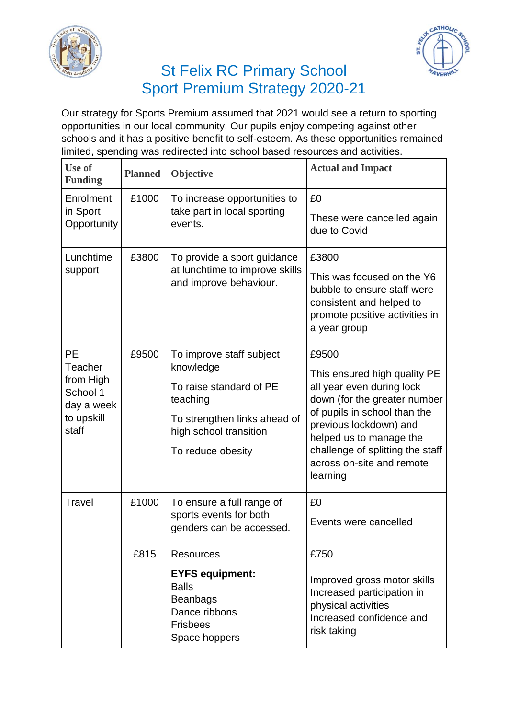



## St Felix RC Primary School Sport Premium Strategy 2020-21

Our strategy for Sports Premium assumed that 2021 would see a return to sporting opportunities in our local community. Our pupils enjoy competing against other schools and it has a positive benefit to self-esteem. As these opportunities remained limited, spending was redirected into school based resources and activities.

| Use of<br><b>Funding</b>                                                           | <b>Planned</b> | Objective                                                                                                                                                   | <b>Actual and Impact</b>                                                                                                                                                                                                                                             |
|------------------------------------------------------------------------------------|----------------|-------------------------------------------------------------------------------------------------------------------------------------------------------------|----------------------------------------------------------------------------------------------------------------------------------------------------------------------------------------------------------------------------------------------------------------------|
| Enrolment<br>in Sport<br>Opportunity<br>Lunchtime<br>support                       | £1000          | To increase opportunities to<br>take part in local sporting<br>events.                                                                                      | £0<br>These were cancelled again<br>due to Covid                                                                                                                                                                                                                     |
|                                                                                    | £3800          | To provide a sport guidance<br>at lunchtime to improve skills<br>and improve behaviour.                                                                     | £3800<br>This was focused on the Y6<br>bubble to ensure staff were<br>consistent and helped to<br>promote positive activities in<br>a year group                                                                                                                     |
| <b>PE</b><br>Teacher<br>from High<br>School 1<br>day a week<br>to upskill<br>staff | £9500          | To improve staff subject<br>knowledge<br>To raise standard of PE<br>teaching<br>To strengthen links ahead of<br>high school transition<br>To reduce obesity | £9500<br>This ensured high quality PE<br>all year even during lock<br>down (for the greater number<br>of pupils in school than the<br>previous lockdown) and<br>helped us to manage the<br>challenge of splitting the staff<br>across on-site and remote<br>learning |
| Travel                                                                             | £1000          | To ensure a full range of<br>sports events for both<br>genders can be accessed.                                                                             | £0<br>Events were cancelled                                                                                                                                                                                                                                          |
|                                                                                    | £815           | <b>Resources</b><br><b>EYFS equipment:</b><br><b>Balls</b><br><b>Beanbags</b><br>Dance ribbons<br><b>Frisbees</b><br>Space hoppers                          | £750<br>Improved gross motor skills<br>Increased participation in<br>physical activities<br>Increased confidence and<br>risk taking                                                                                                                                  |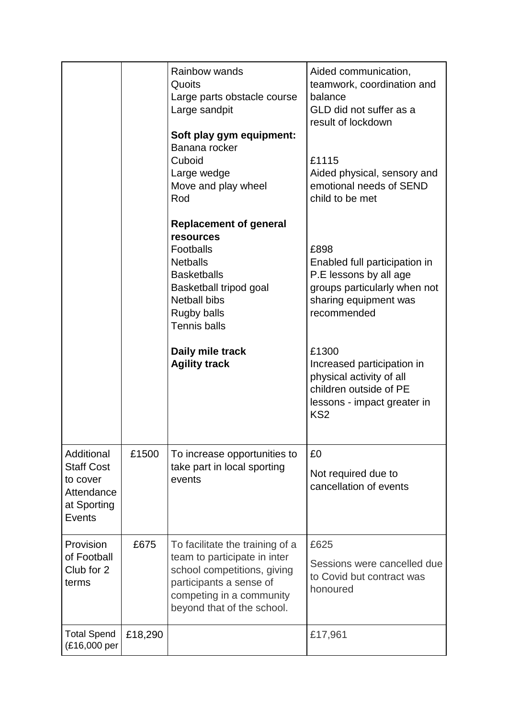|                                                                                    |         | Rainbow wands<br>Quoits<br>Large parts obstacle course<br>Large sandpit<br>Soft play gym equipment:<br>Banana rocker<br>Cuboid<br>Large wedge<br>Move and play wheel<br>Rod             | Aided communication,<br>teamwork, coordination and<br>balance<br>GLD did not suffer as a<br>result of lockdown<br>£1115<br>Aided physical, sensory and<br>emotional needs of SEND<br>child to be met |
|------------------------------------------------------------------------------------|---------|-----------------------------------------------------------------------------------------------------------------------------------------------------------------------------------------|------------------------------------------------------------------------------------------------------------------------------------------------------------------------------------------------------|
|                                                                                    |         | <b>Replacement of general</b><br>resources<br>Footballs<br><b>Netballs</b><br><b>Basketballs</b><br>Basketball tripod goal<br><b>Netball bibs</b><br>Rugby balls<br><b>Tennis balls</b> | £898<br>Enabled full participation in<br>P.E lessons by all age<br>groups particularly when not<br>sharing equipment was<br>recommended                                                              |
|                                                                                    |         | Daily mile track<br><b>Agility track</b>                                                                                                                                                | £1300<br>Increased participation in<br>physical activity of all<br>children outside of PE<br>lessons - impact greater in<br>KS <sub>2</sub>                                                          |
| Additional<br><b>Staff Cost</b><br>to cover<br>Attendance<br>at Sporting<br>Events | £1500   | To increase opportunities to<br>take part in local sporting<br>events                                                                                                                   | £0<br>Not required due to<br>cancellation of events                                                                                                                                                  |
| Provision<br>of Football<br>Club for 2<br>terms                                    | £675    | To facilitate the training of a<br>team to participate in inter<br>school competitions, giving<br>participants a sense of<br>competing in a community<br>beyond that of the school.     | £625<br>Sessions were cancelled due<br>to Covid but contract was<br>honoured                                                                                                                         |
| <b>Total Spend</b><br>(£16,000 per                                                 | £18,290 |                                                                                                                                                                                         | £17,961                                                                                                                                                                                              |